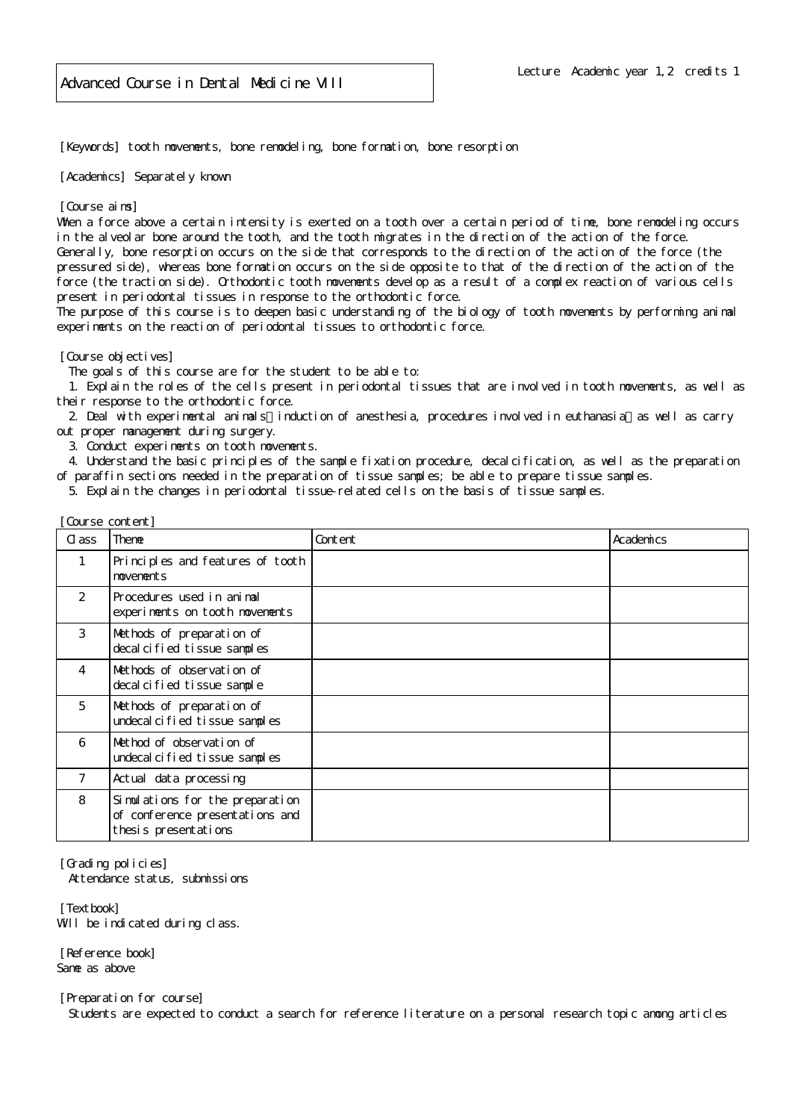[Keywords] tooth movements, bone remodeling, bone formation, bone resorption

[Academics] Separately known

[Course aims]

When a force above a certain intensity is exerted on a tooth over a certain period of time, bone remodeling occurs in the alveolar bone around the tooth, and the tooth migrates in the direction of the action of the force. Generally, bone resorption occurs on the side that corresponds to the direction of the action of the force (the

pressured side), whereas bone formation occurs on the side opposite to that of the direction of the action of the force (the traction side). Orthodontic tooth movements develop as a result of a complex reaction of various cells present in periodontal tissues in response to the orthodontic force.

The purpose of this course is to deepen basic understanding of the biology of tooth movements by performing animal experiments on the reaction of periodontal tissues to orthodontic force.

[Course objectives]

The goals of this course are for the student to be able to:

 1. Explain the roles of the cells present in periodontal tissues that are involved in tooth movements, as well as their response to the orthodontic force.

2. Deal with experimental animals induction of anesthesia, procedures involved in euthanasia as well as carry out proper management during surgery.

3. Conduct experiments on tooth movements.

 4. Understand the basic principles of the sample fixation procedure, decalcification, as well as the preparation of paraffin sections needed in the preparation of tissue samples; be able to prepare tissue samples.

5. Explain the changes in periodontal tissue-related cells on the basis of tissue samples.

| Course content] |                                                                                            |         |           |
|-----------------|--------------------------------------------------------------------------------------------|---------|-----------|
| C ass           | Theme                                                                                      | Content | Academics |
|                 | Principles and features of tooth<br>movements                                              |         |           |
| 2               | Procedures used in animal<br>experiments on tooth movements                                |         |           |
| 3               | Methods of preparation of<br>decal cified tissue samples                                   |         |           |
| 4               | Methods of observation of<br>decal cified tissue sample                                    |         |           |
| 5               | Methods of preparation of<br>undecal cified tissue samples                                 |         |           |
| 6               | Method of observation of<br>undecal cified tissue samples                                  |         |           |
| 7               | Actual data processing                                                                     |         |           |
| 8               | Simulations for the preparation<br>of conference presentations and<br>thesis presentations |         |           |

[Grading policies]

Attendance status, submissions

[Textbook] Will be indicated during class.

[Reference book] Same as above

[Preparation for course]

Students are expected to conduct a search for reference literature on a personal research topic among articles